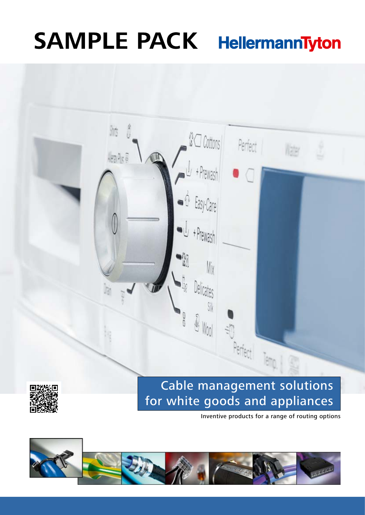# **SAMPLE PACK HellermannTyton**

**AO** Cottons

+ Prewash

Easy-Care

L<sub>+Prewash</sub>

 $\Omega$ 

gres

 $\widehat{\mathbb{Q}}$  $M_{00}$  Perfect

 $||\frac{1}{2}||$ 

Ms.

 $\frac{1}{2}$ 



Perfect



Tem



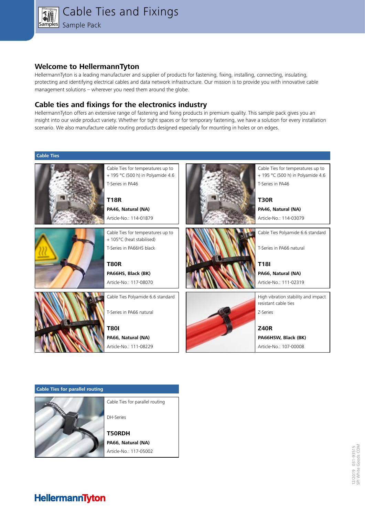

## **Welcome to HellermannTyton**

HellermannTyton is a leading manufacturer and supplier of products for fastening, fixing, installing, connecting, insulating, protecting and identifying electrical cables and data network infrastructure. Our mission is to provide you with innovative cable management solutions – wherever you need them around the globe.

# **Cable ties and fixings for the electronics industry**

HellermannTyton offers an extensive range of fastening and fixing products in premium quality. This sample pack gives you an insight into our wide product variety. Whether for tight spaces or for temporary fastening, we have a solution for every installation scenario. We also manufacture cable routing products designed especially for mounting in holes or on edges.

#### **Cable Ties**



**Cable Ties for parallel routing**



Cable Ties for parallel routing DH-Series

**T50RDH PA66, Natural (NA)** Article-No.: 117-05002

# **HellermannTyton**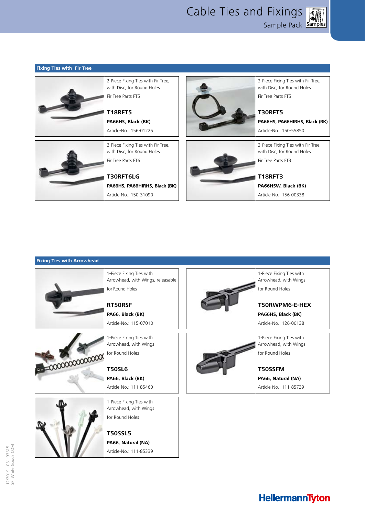Sample Pack **Samples** Cable Ties and Fixings



2-Piece Fixing Ties with Fir Tree, with Disc, for Round Holes Fir Tree Parts FT5

**PA66HS, PA66HIRHS, Black (BK)** Article-No.: 150-55850



**PA66HSW, Black (BK)** Article-No.: 156-00338

### **Fixing Ties with Arrowhead**

**Fixing Ties with Fir Tree**



HellermannTyton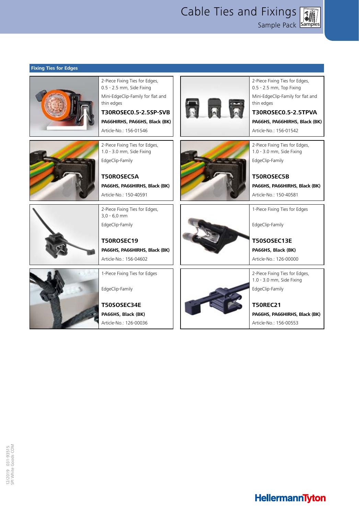Cable Ties and Fixings

Samples Sample Pack

| 2-Piece Fixing Ties for Edges,<br>0.5 - 2.5 mm, Side Fixing<br>Mini-EdgeClip-Family for flat and<br>thin edges<br>T30ROSEC0.5-2.5SP-SVB<br>PA66HIRHS, PA66HS, Black (BK)<br>Article-No.: 156-01546 | 2-Piece Fixing Ties for Edges,<br>0.5 - 2.5 mm, Top Fixing<br>Mini-EdgeClip-Family for flat and<br>thin edges<br>T30ROSEC0.5-2.5TPVA<br>PA66HS, PA66HIRHS, Black (BK)<br>Article-No.: 156-01542 |
|----------------------------------------------------------------------------------------------------------------------------------------------------------------------------------------------------|-------------------------------------------------------------------------------------------------------------------------------------------------------------------------------------------------|
| 2-Piece Fixing Ties for Edges,<br>1.0 - 3.0 mm, Side Fixing<br>EdgeClip-Family<br>T50ROSEC5A<br>PA66HS, PA66HIRHS, Black (BK)<br>Article-No.: 150-40591                                            | 2-Piece Fixing Ties for Edges,<br>1.0 - 3.0 mm, Side Fixing<br>EdgeClip-Family<br><b>T50ROSEC5B</b><br>PA66HS, PA66HIRHS, Black (BK)<br>Article-No.: 150-40581                                  |
| 2-Piece Fixing Ties for Edges,<br>$3.0 - 6.0$ mm<br>EdgeClip-Family<br><b>T50ROSEC19</b><br>PA66HS, PA66HIRHS, Black (BK)<br>Article-No.: 156-04602                                                | 1-Piece Fixing Ties for Edges<br>EdgeClip-Family<br>T50SOSEC13E<br>PA66HS, Black (BK)<br>Article-No.: 126-00000                                                                                 |
| 1-Piece Fixing Ties for Edges<br>EdgeClip-Family<br>T50SOSEC34E<br>PA66HS, Black (BK)<br>Article-No.: 126-00036                                                                                    | 2-Piece Fixing Ties for Edges,<br>1.0 - 3.0 mm, Side Fixing<br>EdgeClip-Family<br><b>T50REC21</b><br>PA66HS, PA66HIRHS, Black (BK)<br>Article-No.: 156-00553                                    |

### **Fixing Ties for Edges**

| LN<br>۳<br>п<br>x<br>□<br>۹<br>ť |        |
|----------------------------------|--------|
| σ<br>١<br>÷                      | с<br>t |

**COLOR** 

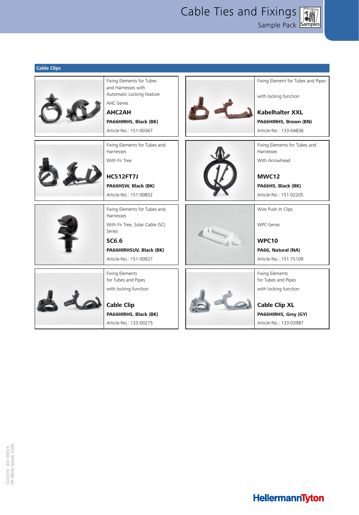Sample Pack **Samples** Cable Ties and Fixings

**Cable Clips** Fixing Elements for Tubes Fixing Element for Tubes and Pipes and Harnesses with Automatic Locking Feature with locking function AHC-Series **AHC2AH Kabelhalter XXL PA66HIRHS, Brown (BN) PA66HIRHS, Black (BK)** Article-No.: 151-00367 Article-No.: 133-04836 Fixing Elements for Tubes and Fixing Elements for Tubes and Harnesses Harnesses With Fir Tree With Arrowhead **HC512FT7J MWC12 PA66HSW, Black (BK) PA66HS, Black (BK)** Article-No.: 151-00852 Article-No.: 151-02205 Fixing Elements for Tubes and Wire Push In Clips Harnesses With Fir Tree, Solar Cable (SC) WPC-Series Series **WPC10 SC6.6 PA66HIRHSUV, Black (BK) PA66, Natural (NA)** Article-No.: 151-00927 Article-No.: 151-75109 Fixing Elements Fixing Elements for Tubes and Pipes for Tubes and Pipes with locking function with locking function  $\triangle$ **Cable Clip Cable Clip XL PA66HIRHS, Black (BK) PA66HIRHS, Grey (GY)** Article-No.: 133-00275 Article-No.: 133-03987

**HellermannTyton**